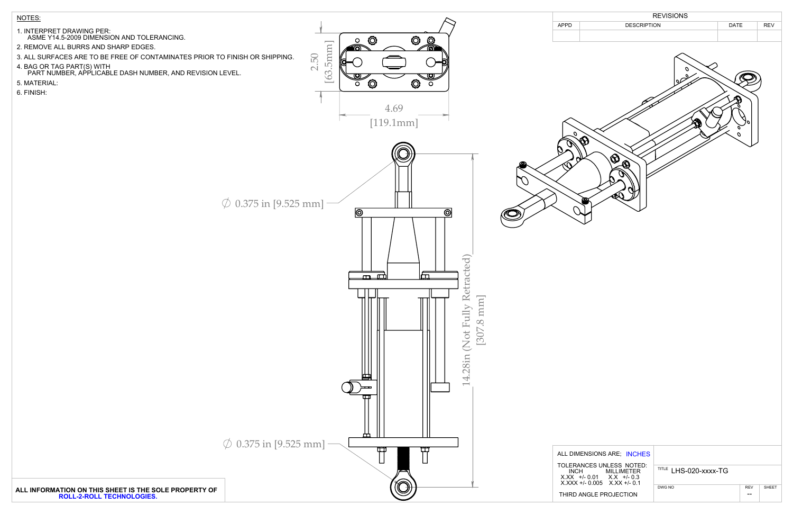

- 1. INTERPRET DRAWING PER:
- ASME Y14.5-2009 DIMENSION AND TOLERANCING.
- 2. REMOVE ALL BURRS AND SHARP EDGES.
- 3. ALL SURFACES ARE TO BE FREE OF CONTAMINATES PRIOR TO FINISH OR SHIPPING.
- 4. BAG OR TAG PART(S) WITH PART NUMBER, APPLICABLE DASH NUMBER, AND REVISION LEVEL.
- 5. MATERIAL:
- 6. FINISH:



| NSIONS ARE; INCHES                                                                        |                       |            |              |
|-------------------------------------------------------------------------------------------|-----------------------|------------|--------------|
| <b>ICES UNLESS NOTED:</b><br>MILL IMETER<br>$-0.01$ $X.X + -0.3$<br>/- 0.005 X.XX +/- 0.1 | TITLE LHS-020-XXXX-TG |            |              |
|                                                                                           | DWG NO                | <b>REV</b> | <b>SHEET</b> |
| NGLE PROJECTION                                                                           |                       |            |              |